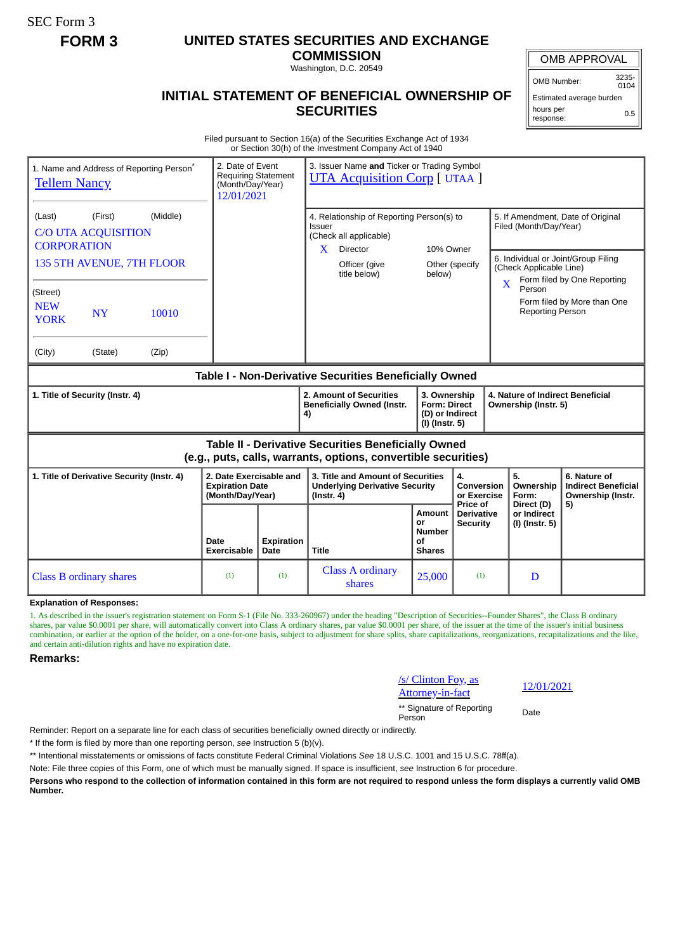SEC Form 3

## **FORM 3 UNITED STATES SECURITIES AND EXCHANGE**

**COMMISSION** Washington, D.C. 20549

OMB APPROVAL

OMB Number: 3235- 0104

0.5

Estimated average burden hours per

response:

## **INITIAL STATEMENT OF BENEFICIAL OWNERSHIP OF SECURITIES**

Filed pursuant to Section 16(a) of the Securities Exchange Act of 1934 or Section 30(h) of the Investment Company Act of 1940

| 1. Name and Address of Reporting Person <sup>®</sup><br><b>Tellem Nancy</b>                                                                                                                                 | 2. Date of Event<br><b>Requiring Statement</b><br>(Month/Day/Year)<br>12/01/2021 |                    | 3. Issuer Name and Ticker or Trading Symbol<br><b>UTA Acquisition Corp</b> [ UTAA ]                                                           |                                                                          |                                             |                                                                                                       |                                                                                                                                        |
|-------------------------------------------------------------------------------------------------------------------------------------------------------------------------------------------------------------|----------------------------------------------------------------------------------|--------------------|-----------------------------------------------------------------------------------------------------------------------------------------------|--------------------------------------------------------------------------|---------------------------------------------|-------------------------------------------------------------------------------------------------------|----------------------------------------------------------------------------------------------------------------------------------------|
| (Middle)<br>(First)<br>(Last)<br><b>C/O UTA ACQUISITION</b><br><b>CORPORATION</b><br>135 5TH AVENUE, 7TH FLOOR<br>(Street)<br><b>NEW</b><br><b>NY</b><br>10010<br><b>YORK</b><br>(City)<br>(State)<br>(Zip) |                                                                                  |                    | 4. Relationship of Reporting Person(s) to<br><b>Issuer</b><br>(Check all applicable)<br>X<br><b>Director</b><br>Officer (give<br>title below) | 10% Owner<br>below)                                                      | Other (specify                              | Filed (Month/Day/Year)<br>(Check Applicable Line)<br>$\mathbf X$<br>Person<br><b>Reporting Person</b> | 5. If Amendment, Date of Original<br>6. Individual or Joint/Group Filing<br>Form filed by One Reporting<br>Form filed by More than One |
| Table I - Non-Derivative Securities Beneficially Owned                                                                                                                                                      |                                                                                  |                    |                                                                                                                                               |                                                                          |                                             |                                                                                                       |                                                                                                                                        |
| 1. Title of Security (Instr. 4)                                                                                                                                                                             |                                                                                  |                    | 2. Amount of Securities<br><b>Beneficially Owned (Instr.</b><br>4)                                                                            | 3. Ownership<br><b>Form: Direct</b><br>(D) or Indirect<br>(I) (Instr. 5) |                                             | 4. Nature of Indirect Beneficial<br>Ownership (Instr. 5)                                              |                                                                                                                                        |
| Table II - Derivative Securities Beneficially Owned<br>(e.g., puts, calls, warrants, options, convertible securities)                                                                                       |                                                                                  |                    |                                                                                                                                               |                                                                          |                                             |                                                                                                       |                                                                                                                                        |
| 1. Title of Derivative Security (Instr. 4)                                                                                                                                                                  | 2. Date Exercisable and<br><b>Expiration Date</b><br>(Month/Day/Year)            |                    | 3. Title and Amount of Securities<br><b>Underlying Derivative Security</b><br>$($ Instr. 4 $)$                                                |                                                                          | 4.<br>Conversion<br>or Exercise<br>Price of | 5.<br>Ownership<br>Form:<br>Direct (D)                                                                | 6. Nature of<br><b>Indirect Beneficial</b><br>Ownership (Instr.                                                                        |
|                                                                                                                                                                                                             | Date<br>Exercisable                                                              | Expiration<br>Date | <b>Title</b>                                                                                                                                  | Amount<br>or<br><b>Number</b><br>Οf<br><b>Shares</b>                     | Derivative<br><b>Security</b>               | or Indirect<br>(I) (Instr. 5)                                                                         | 5)                                                                                                                                     |
| <b>Class B ordinary shares</b>                                                                                                                                                                              | (1)                                                                              | (1)                | <b>Class A ordinary</b><br>shares                                                                                                             | 25,000                                                                   | (1)                                         | D                                                                                                     |                                                                                                                                        |

**Explanation of Responses:**

1. As described in the issuer's registration statement on Form S-1 (File No. 333-260967) under the heading "Description of Securities--Founder Shares", the Class B ordinary shares, par value \$0.0001 per share, will automatically convert into Class A ordinary shares, par value \$0.0001 per share, of the issuer at the time of the issuer's initial business combination, or earlier at the option of the holder, on a one-for-one basis, subject to adjustment for share splits, share capitalizations, reorganizations, recapitalizations and the like, and certain anti-dilution rights and have no expiration date.

**Remarks:**

## /s/ Clinton Foy, as

\*\* Signature of Reporting Person Date

 $\frac{12}{01/2021}$  Attorney-in-fact

Reminder: Report on a separate line for each class of securities beneficially owned directly or indirectly.

\* If the form is filed by more than one reporting person, *see* Instruction 5 (b)(v).

\*\* Intentional misstatements or omissions of facts constitute Federal Criminal Violations *See* 18 U.S.C. 1001 and 15 U.S.C. 78ff(a).

Note: File three copies of this Form, one of which must be manually signed. If space is insufficient, *see* Instruction 6 for procedure.

**Persons who respond to the collection of information contained in this form are not required to respond unless the form displays a currently valid OMB Number.**